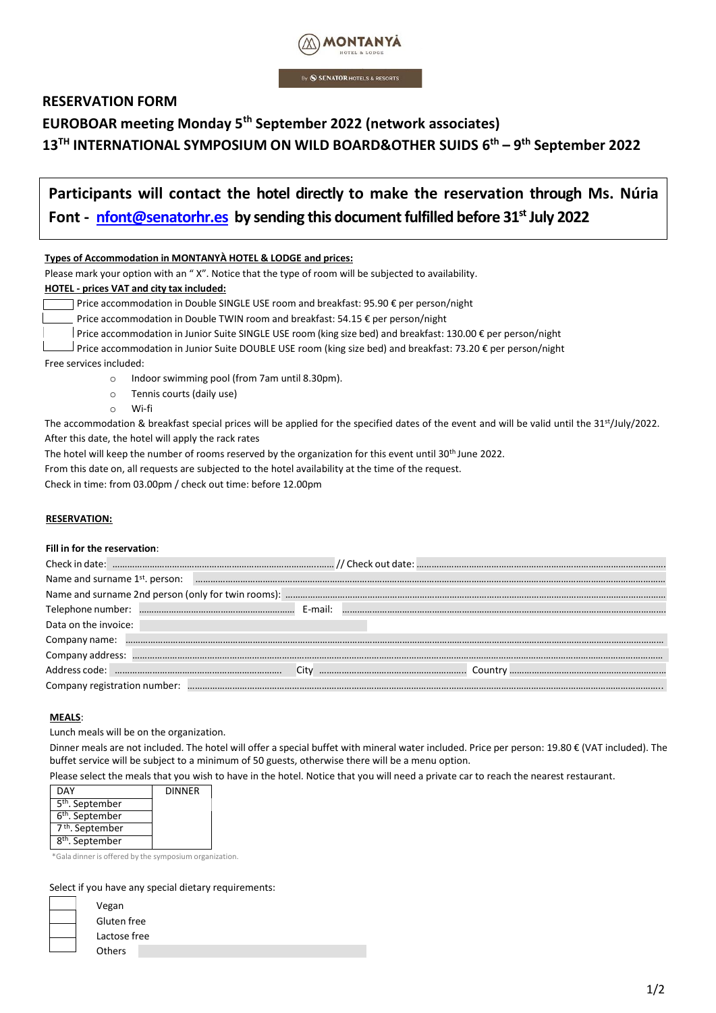

By **SENATOR HOTELS & RESORTS** 

# **RESERVATION FORM**

# **EUROBOAR meeting Monday 5th September 2022 (network associates)**

**13TH INTERNATIONAL SYMPOSIUM ON WILD BOARD&OTHER SUIDS 6 th – 9 th September 2022**

| Participants will contact the hotel directly to make the reservation through Ms. Núria         |  |
|------------------------------------------------------------------------------------------------|--|
| Font - nfont@senatorhr.es by sending this document fulfilled before 31 <sup>st</sup> July 2022 |  |

| Types of Accommodation in MONTANYA HOTEL & LODGE and prices: |  |
|--------------------------------------------------------------|--|
|                                                              |  |

Please mark your option with an " X". Notice that the type of room will be subjected to availability.

## **HOTEL - prices VAT and city tax included:**

Price accommodation in Double SINGLE USE room and breakfast: 95.90  $\epsilon$  per person/night

Price accommodation in Double TWIN room and breakfast: 54.15 € per person/night

Price accommodation in Junior Suite SINGLE USE room (king size bed) and breakfast: 130.00 € per person/night

 $□$  Price accommodation in Junior Suite DOUBLE USE room (king size bed) and breakfast: 73.20 € per person/night

Free services included:

- o Indoor swimming pool (from 7am until 8.30pm).
- o Tennis courts (daily use)
- o Wi-fi

The accommodation & breakfast special prices will be applied for the specified dates of the event and will be valid until the 31 st/July/2022. After this date, the hotel will apply the rack rates

The hotel will keep the number of rooms reserved by the organization for this event until 30<sup>th</sup> June 2022.

From this date on, all requests are subjected to the hotel availability at the time of the request.

Check in time: from 03.00pm / check out time: before 12.00pm

# **RESERVATION:**

#### **Fill in for the reservation**:

| Name and surname 1st, person: |  |  |
|-------------------------------|--|--|
|                               |  |  |
|                               |  |  |
| Data on the invoice:          |  |  |
| Company name:                 |  |  |
|                               |  |  |
|                               |  |  |
| Company registration number:  |  |  |

#### **MEALS**:

Lunch meals will be on the organization.

Dinner meals are not included. The hotel will offer a special buffet with mineral water included. Price per person: 19.80 € (VAT included). The buffet service will be subject to a minimum of 50 guests, otherwise there will be a menu option.

Please select the meals that you wish to have in the hotel. Notice that you will need a private car to reach the nearest restaurant.

| <b>DAY</b>                  | <b>DINNER</b> |
|-----------------------------|---------------|
| 5 <sup>th</sup> . September |               |
| 6 <sup>th</sup> . September |               |
| 7 <sup>th</sup> . September |               |
| 8 <sup>th</sup> . September |               |

\*Gala dinner is offered by the symposium organization.

#### Select if you have any special dietary requirements:

| Vegan        |
|--------------|
| Gluten free  |
| Lactose free |
| Others       |